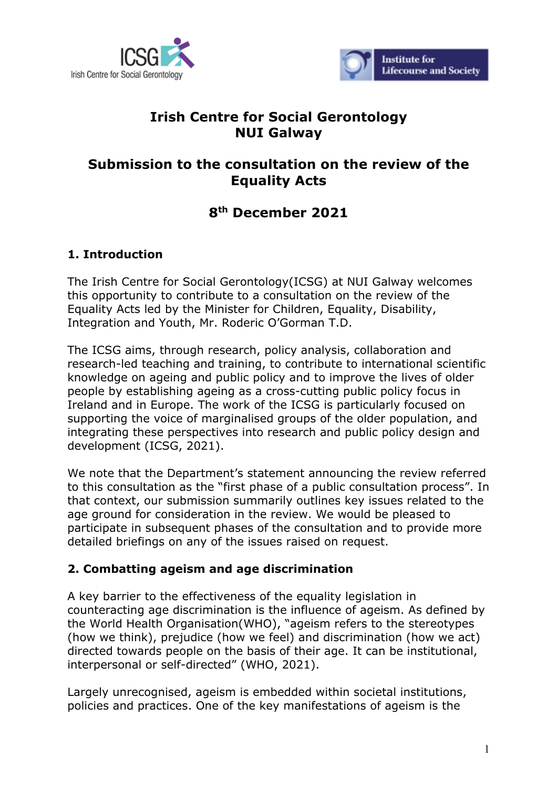



# **Irish Centre for Social Gerontology NUI Galway**

# **Submission to the consultation on the review of the Equality Acts**

# **8th December 2021**

## **1. Introduction**

The Irish Centre for Social Gerontology(ICSG) at NUI Galway welcomes this opportunity to contribute to a consultation on the review of the Equality Acts led by the Minister for Children, Equality, Disability, Integration and Youth, Mr. Roderic O'Gorman T.D.

The ICSG aims, through research, policy analysis, collaboration and research-led teaching and training, to contribute to international scientific knowledge on ageing and public policy and to improve the lives of older people by establishing ageing as a cross-cutting public policy focus in Ireland and in Europe. The work of the ICSG is particularly focused on supporting the voice of marginalised groups of the older population, and integrating these perspectives into research and public policy design and development (ICSG, 2021).

We note that the Department's statement announcing the review referred to this consultation as the "first phase of a public consultation process". In that context, our submission summarily outlines key issues related to the age ground for consideration in the review. We would be pleased to participate in subsequent phases of the consultation and to provide more detailed briefings on any of the issues raised on request.

## **2. Combatting ageism and age discrimination**

A key barrier to the effectiveness of the equality legislation in counteracting age discrimination is the influence of ageism. As defined by the World Health Organisation(WHO), "ageism refers to the stereotypes (how we think), prejudice (how we feel) and discrimination (how we act) directed towards people on the basis of their age. It can be institutional, interpersonal or self-directed" (WHO, 2021).

Largely unrecognised, ageism is embedded within societal institutions, policies and practices. One of the key manifestations of ageism is the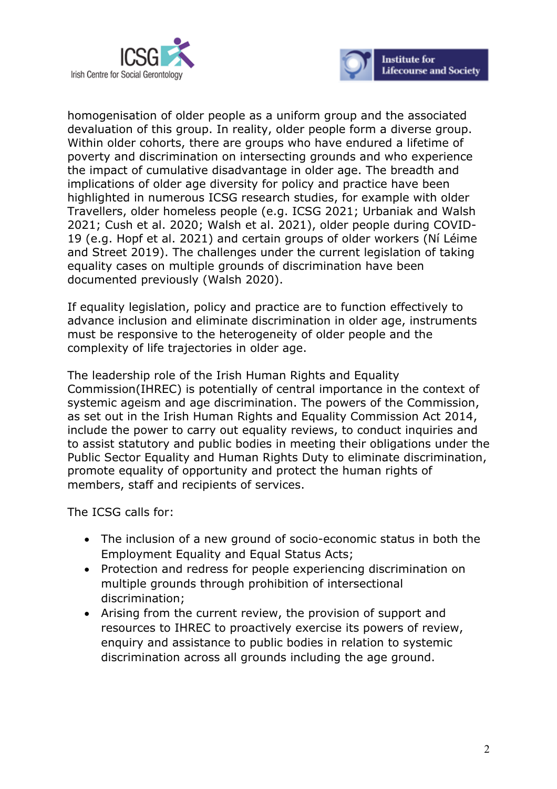



homogenisation of older people as a uniform group and the associated devaluation of this group. In reality, older people form a diverse group. Within older cohorts, there are groups who have endured a lifetime of poverty and discrimination on intersecting grounds and who experience the impact of cumulative disadvantage in older age. The breadth and implications of older age diversity for policy and practice have been highlighted in numerous ICSG research studies, for example with older Travellers, older homeless people (e.g. ICSG 2021; Urbaniak and Walsh 2021; Cush et al. 2020; Walsh et al. 2021), older people during COVID-19 (e.g. Hopf et al. 2021) and certain groups of older workers (Ní Léime and Street 2019). The challenges under the current legislation of taking equality cases on multiple grounds of discrimination have been documented previously (Walsh 2020).

If equality legislation, policy and practice are to function effectively to advance inclusion and eliminate discrimination in older age, instruments must be responsive to the heterogeneity of older people and the complexity of life trajectories in older age.

The leadership role of the Irish Human Rights and Equality Commission(IHREC) is potentially of central importance in the context of systemic ageism and age discrimination. The powers of the Commission, as set out in the Irish Human Rights and Equality Commission Act 2014, include the power to carry out equality reviews, to conduct inquiries and to assist statutory and public bodies in meeting their obligations under the Public Sector Equality and Human Rights Duty to eliminate discrimination, promote equality of opportunity and protect the human rights of members, staff and recipients of services.

- The inclusion of a new ground of socio-economic status in both the Employment Equality and Equal Status Acts;
- Protection and redress for people experiencing discrimination on multiple grounds through prohibition of intersectional discrimination;
- Arising from the current review, the provision of support and resources to IHREC to proactively exercise its powers of review, enquiry and assistance to public bodies in relation to systemic discrimination across all grounds including the age ground.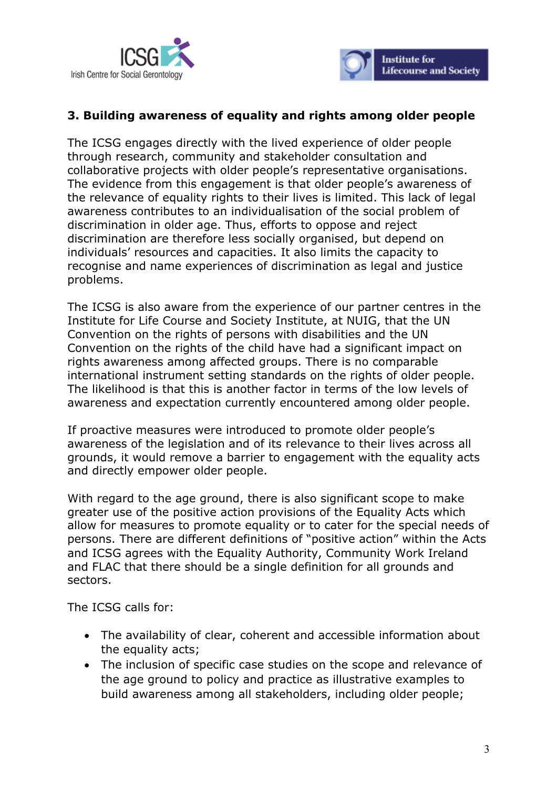



## **3. Building awareness of equality and rights among older people**

The ICSG engages directly with the lived experience of older people through research, community and stakeholder consultation and collaborative projects with older people's representative organisations. The evidence from this engagement is that older people's awareness of the relevance of equality rights to their lives is limited. This lack of legal awareness contributes to an individualisation of the social problem of discrimination in older age. Thus, efforts to oppose and reject discrimination are therefore less socially organised, but depend on individuals' resources and capacities. It also limits the capacity to recognise and name experiences of discrimination as legal and justice problems.

The ICSG is also aware from the experience of our partner centres in the Institute for Life Course and Society Institute, at NUIG, that the UN Convention on the rights of persons with disabilities and the UN Convention on the rights of the child have had a significant impact on rights awareness among affected groups. There is no comparable international instrument setting standards on the rights of older people. The likelihood is that this is another factor in terms of the low levels of awareness and expectation currently encountered among older people.

If proactive measures were introduced to promote older people's awareness of the legislation and of its relevance to their lives across all grounds, it would remove a barrier to engagement with the equality acts and directly empower older people.

With regard to the age ground, there is also significant scope to make greater use of the positive action provisions of the Equality Acts which allow for measures to promote equality or to cater for the special needs of persons. There are different definitions of "positive action" within the Acts and ICSG agrees with the Equality Authority, Community Work Ireland and FLAC that there should be a single definition for all grounds and sectors.

- The availability of clear, coherent and accessible information about the equality acts;
- The inclusion of specific case studies on the scope and relevance of the age ground to policy and practice as illustrative examples to build awareness among all stakeholders, including older people;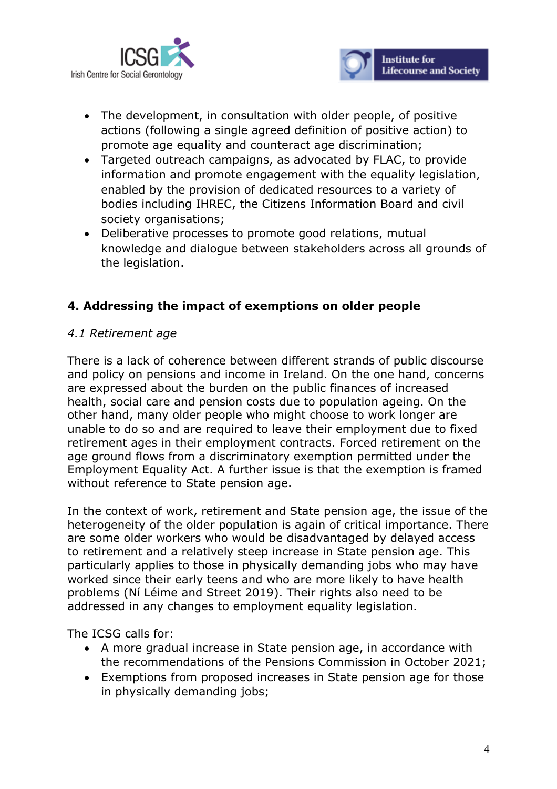



- The development, in consultation with older people, of positive actions (following a single agreed definition of positive action) to promote age equality and counteract age discrimination;
- Targeted outreach campaigns, as advocated by FLAC, to provide information and promote engagement with the equality legislation, enabled by the provision of dedicated resources to a variety of bodies including IHREC, the Citizens Information Board and civil society organisations;
- Deliberative processes to promote good relations, mutual knowledge and dialogue between stakeholders across all grounds of the legislation.

## **4. Addressing the impact of exemptions on older people**

#### *4.1 Retirement age*

There is a lack of coherence between different strands of public discourse and policy on pensions and income in Ireland. On the one hand, concerns are expressed about the burden on the public finances of increased health, social care and pension costs due to population ageing. On the other hand, many older people who might choose to work longer are unable to do so and are required to leave their employment due to fixed retirement ages in their employment contracts. Forced retirement on the age ground flows from a discriminatory exemption permitted under the Employment Equality Act. A further issue is that the exemption is framed without reference to State pension age.

In the context of work, retirement and State pension age, the issue of the heterogeneity of the older population is again of critical importance. There are some older workers who would be disadvantaged by delayed access to retirement and a relatively steep increase in State pension age. This particularly applies to those in physically demanding jobs who may have worked since their early teens and who are more likely to have health problems (Ní Léime and Street 2019). Their rights also need to be addressed in any changes to employment equality legislation.

- A more gradual increase in State pension age, in accordance with the recommendations of the Pensions Commission in October 2021;
- Exemptions from proposed increases in State pension age for those in physically demanding jobs;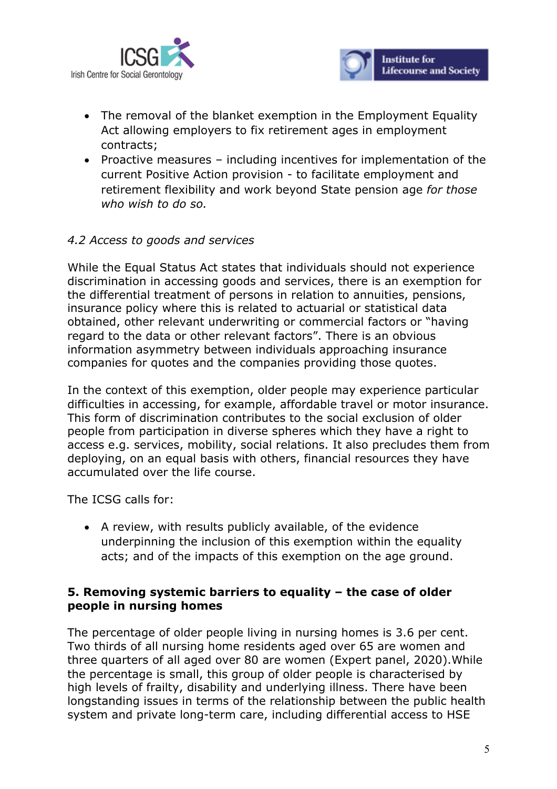



- The removal of the blanket exemption in the Employment Equality Act allowing employers to fix retirement ages in employment contracts;
- Proactive measures including incentives for implementation of the current Positive Action provision - to facilitate employment and retirement flexibility and work beyond State pension age *for those who wish to do so.*

#### *4.2 Access to goods and services*

While the Equal Status Act states that individuals should not experience discrimination in accessing goods and services, there is an exemption for the differential treatment of persons in relation to annuities, pensions, insurance policy where this is related to actuarial or statistical data obtained, other relevant underwriting or commercial factors or "having regard to the data or other relevant factors". There is an obvious information asymmetry between individuals approaching insurance companies for quotes and the companies providing those quotes.

In the context of this exemption, older people may experience particular difficulties in accessing, for example, affordable travel or motor insurance. This form of discrimination contributes to the social exclusion of older people from participation in diverse spheres which they have a right to access e.g. services, mobility, social relations. It also precludes them from deploying, on an equal basis with others, financial resources they have accumulated over the life course.

The ICSG calls for:

• A review, with results publicly available, of the evidence underpinning the inclusion of this exemption within the equality acts; and of the impacts of this exemption on the age ground.

#### **5. Removing systemic barriers to equality – the case of older people in nursing homes**

The percentage of older people living in nursing homes is 3.6 per cent. Two thirds of all nursing home residents aged over 65 are women and three quarters of all aged over 80 are women (Expert panel, 2020).While the percentage is small, this group of older people is characterised by high levels of frailty, disability and underlying illness. There have been longstanding issues in terms of the relationship between the public health system and private long-term care, including differential access to HSE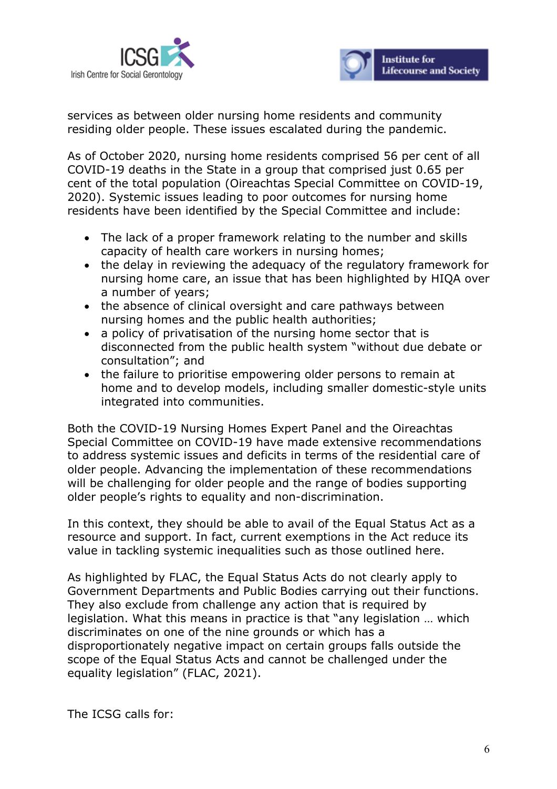



services as between older nursing home residents and community residing older people. These issues escalated during the pandemic.

As of October 2020, nursing home residents comprised 56 per cent of all COVID-19 deaths in the State in a group that comprised just 0.65 per cent of the total population (Oireachtas Special Committee on COVID-19, 2020). Systemic issues leading to poor outcomes for nursing home residents have been identified by the Special Committee and include:

- The lack of a proper framework relating to the number and skills capacity of health care workers in nursing homes;
- the delay in reviewing the adequacy of the regulatory framework for nursing home care, an issue that has been highlighted by HIQA over a number of years;
- the absence of clinical oversight and care pathways between nursing homes and the public health authorities;
- a policy of privatisation of the nursing home sector that is disconnected from the public health system "without due debate or consultation"; and
- the failure to prioritise empowering older persons to remain at home and to develop models, including smaller domestic-style units integrated into communities.

Both the COVID-19 Nursing Homes Expert Panel and the Oireachtas Special Committee on COVID-19 have made extensive recommendations to address systemic issues and deficits in terms of the residential care of older people. Advancing the implementation of these recommendations will be challenging for older people and the range of bodies supporting older people's rights to equality and non-discrimination.

In this context, they should be able to avail of the Equal Status Act as a resource and support. In fact, current exemptions in the Act reduce its value in tackling systemic inequalities such as those outlined here.

As highlighted by FLAC, the Equal Status Acts do not clearly apply to Government Departments and Public Bodies carrying out their functions. They also exclude from challenge any action that is required by legislation. What this means in practice is that "any legislation … which discriminates on one of the nine grounds or which has a disproportionately negative impact on certain groups falls outside the scope of the Equal Status Acts and cannot be challenged under the equality legislation" (FLAC, 2021).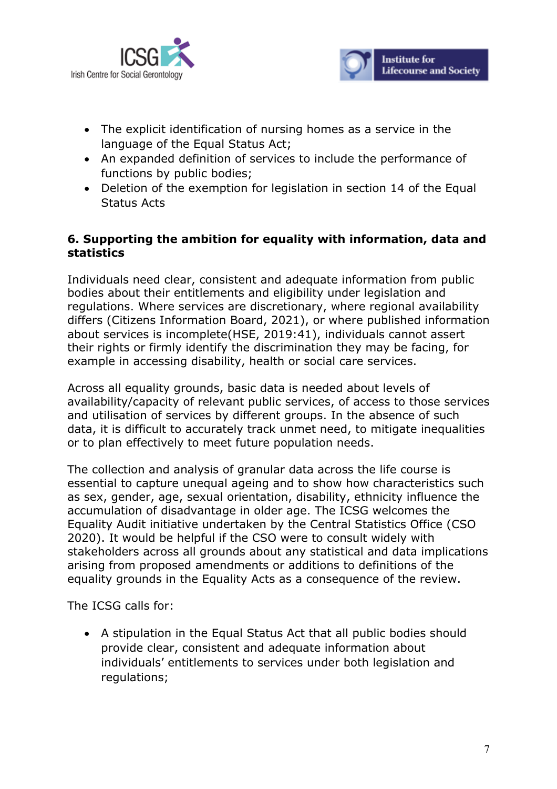



- The explicit identification of nursing homes as a service in the language of the Equal Status Act;
- An expanded definition of services to include the performance of functions by public bodies;
- Deletion of the exemption for legislation in section 14 of the Equal Status Acts

## **6. Supporting the ambition for equality with information, data and statistics**

Individuals need clear, consistent and adequate information from public bodies about their entitlements and eligibility under legislation and regulations. Where services are discretionary, where regional availability differs (Citizens Information Board, 2021), or where published information about services is incomplete(HSE, 2019:41), individuals cannot assert their rights or firmly identify the discrimination they may be facing, for example in accessing disability, health or social care services.

Across all equality grounds, basic data is needed about levels of availability/capacity of relevant public services, of access to those services and utilisation of services by different groups. In the absence of such data, it is difficult to accurately track unmet need, to mitigate inequalities or to plan effectively to meet future population needs.

The collection and analysis of granular data across the life course is essential to capture unequal ageing and to show how characteristics such as sex, gender, age, sexual orientation, disability, ethnicity influence the accumulation of disadvantage in older age. The ICSG welcomes the Equality Audit initiative undertaken by the Central Statistics Office (CSO 2020). It would be helpful if the CSO were to consult widely with stakeholders across all grounds about any statistical and data implications arising from proposed amendments or additions to definitions of the equality grounds in the Equality Acts as a consequence of the review.

The ICSG calls for:

• A stipulation in the Equal Status Act that all public bodies should provide clear, consistent and adequate information about individuals' entitlements to services under both legislation and regulations;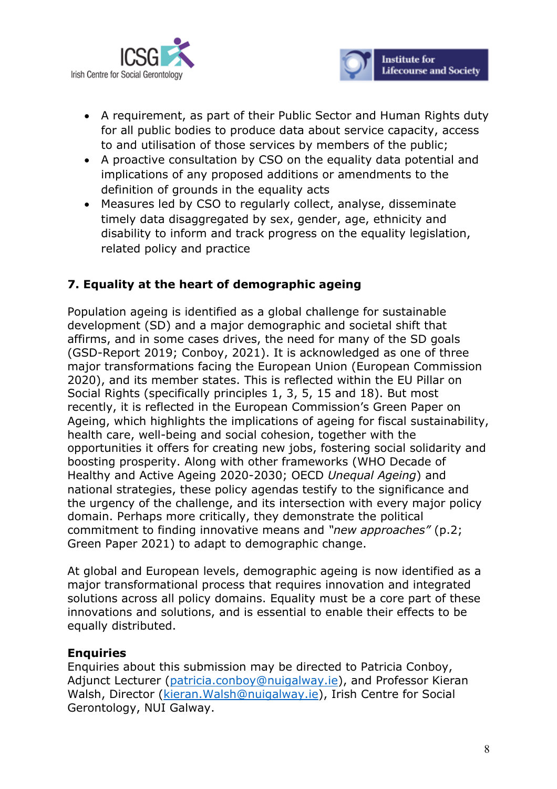



- A requirement, as part of their Public Sector and Human Rights duty for all public bodies to produce data about service capacity, access to and utilisation of those services by members of the public;
- A proactive consultation by CSO on the equality data potential and implications of any proposed additions or amendments to the definition of grounds in the equality acts
- Measures led by CSO to regularly collect, analyse, disseminate timely data disaggregated by sex, gender, age, ethnicity and disability to inform and track progress on the equality legislation, related policy and practice

## **7. Equality at the heart of demographic ageing**

Population ageing is identified as a global challenge for sustainable development (SD) and a major demographic and societal shift that affirms, and in some cases drives, the need for many of the SD goals (GSD-Report 2019; Conboy, 2021). It is acknowledged as one of three major transformations facing the European Union (European Commission 2020), and its member states. This is reflected within the EU Pillar on Social Rights (specifically principles 1, 3, 5, 15 and 18). But most recently, it is reflected in the European Commission's Green Paper on Ageing, which highlights the implications of ageing for fiscal sustainability, health care, well-being and social cohesion, together with the opportunities it offers for creating new jobs, fostering social solidarity and boosting prosperity. Along with other frameworks (WHO Decade of Healthy and Active Ageing 2020-2030; OECD *Unequal Ageing*) and national strategies, these policy agendas testify to the significance and the urgency of the challenge, and its intersection with every major policy domain. Perhaps more critically, they demonstrate the political commitment to finding innovative means and *"new approaches"* (p.2; Green Paper 2021) to adapt to demographic change.

At global and European levels, demographic ageing is now identified as a major transformational process that requires innovation and integrated solutions across all policy domains. Equality must be a core part of these innovations and solutions, and is essential to enable their effects to be equally distributed.

#### **Enquiries**

Enquiries about this submission may be directed to Patricia Conboy, Adjunct Lecturer (patricia.conboy@nuigalway.ie), and Professor Kieran Walsh, Director (kieran.Walsh@nuigalway.ie), Irish Centre for Social Gerontology, NUI Galway.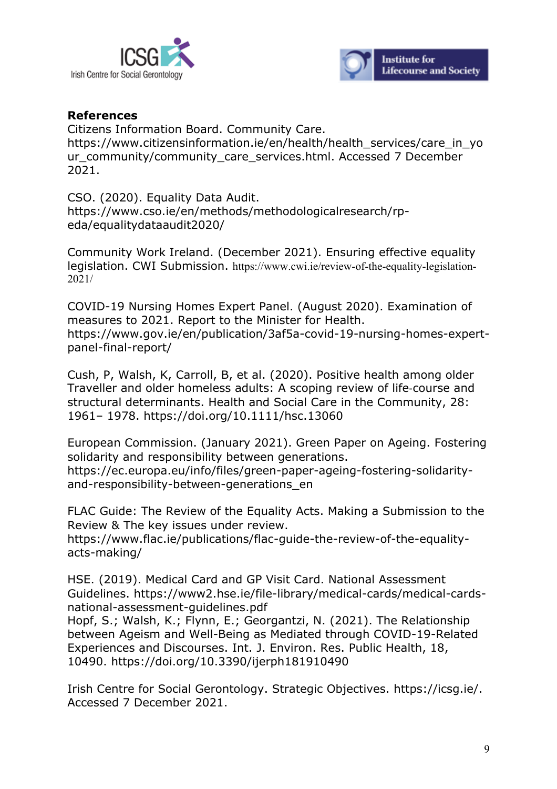



#### **References**

Citizens Information Board. Community Care. https://www.citizensinformation.ie/en/health/health\_services/care\_in\_yo ur\_community/community\_care\_services.html. Accessed 7 December 2021.

CSO. (2020). Equality Data Audit. https://www.cso.ie/en/methods/methodologicalresearch/rpeda/equalitydataaudit2020/

Community Work Ireland. (December 2021). Ensuring effective equality legislation. CWI Submission. https://www.cwi.ie/review-of-the-equality-legislation-2021/

COVID-19 Nursing Homes Expert Panel. (August 2020). Examination of measures to 2021. Report to the Minister for Health. https://www.gov.ie/en/publication/3af5a-covid-19-nursing-homes-expertpanel-final-report/

Cush, P, Walsh, K, Carroll, B, et al. (2020). Positive health among older Traveller and older homeless adults: A scoping review of life-course and structural determinants. Health and Social Care in the Community, 28: 1961– 1978. https://doi.org/10.1111/hsc.13060

European Commission. (January 2021). Green Paper on Ageing. Fostering solidarity and responsibility between generations. https://ec.europa.eu/info/files/green-paper-ageing-fostering-solidarityand-responsibility-between-generations\_en

FLAC Guide: The Review of the Equality Acts. Making a Submission to the Review & The key issues under review.

https://www.flac.ie/publications/flac-guide-the-review-of-the-equalityacts-making/

HSE. (2019). Medical Card and GP Visit Card. National Assessment Guidelines. https://www2.hse.ie/file-library/medical-cards/medical-cardsnational-assessment-guidelines.pdf

Hopf, S.; Walsh, K.; Flynn, E.; Georgantzi, N. (2021). The Relationship between Ageism and Well-Being as Mediated through COVID-19-Related Experiences and Discourses. Int. J. Environ. Res. Public Health, 18, 10490. https://doi.org/10.3390/ijerph181910490

Irish Centre for Social Gerontology. Strategic Objectives. https://icsg.ie/. Accessed 7 December 2021.